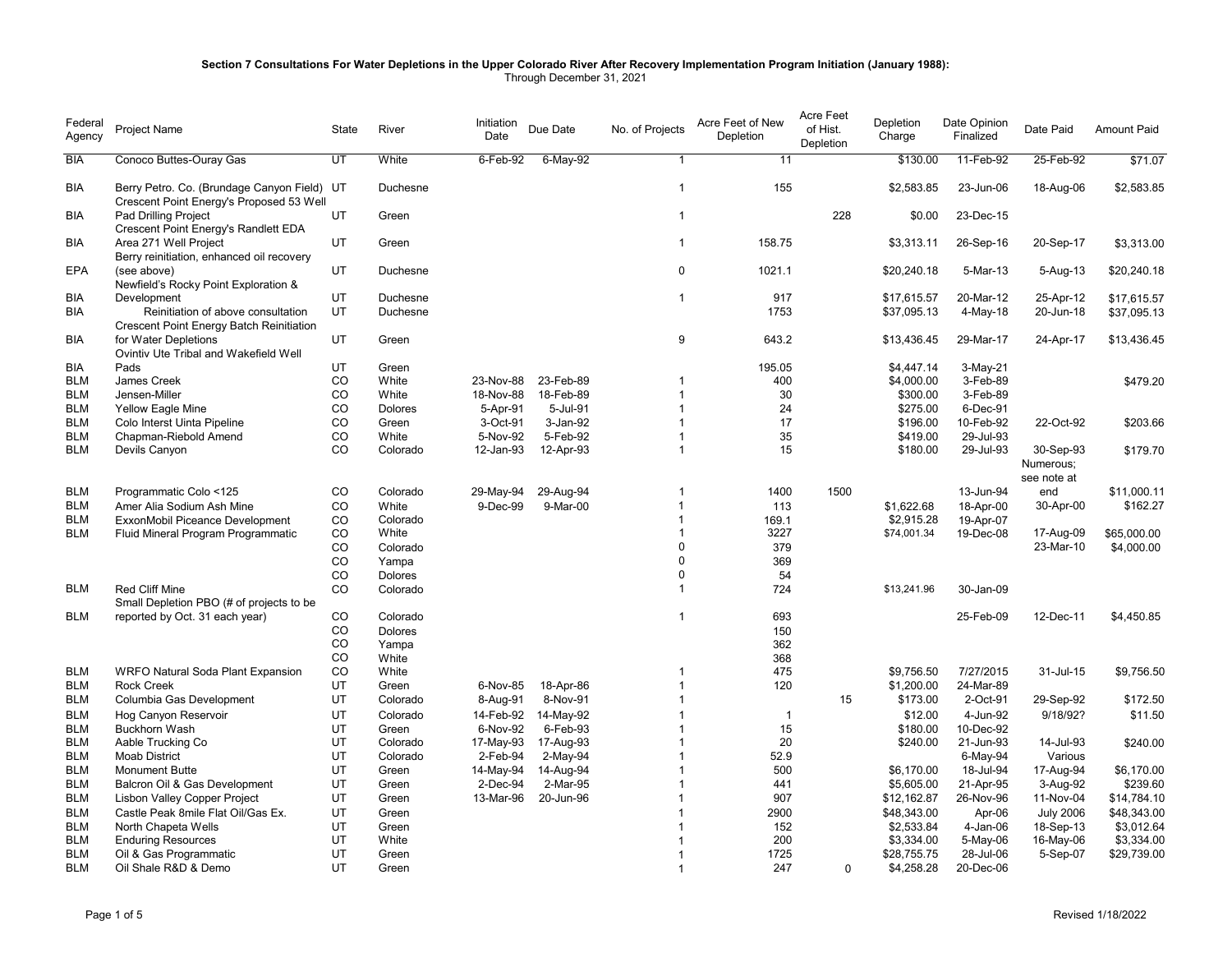## **Section 7 Consultations For Water Depletions in the Upper Colorado River After Recovery Implementation Program Initiation (January 1988):**  Through December 31, 2021

| Federal<br>Agency | Project Name                                                                            | State | River          | Initiation<br>Date | Due Date    | No. of Projects | Acre Feet of New<br>Depletion | <b>Acre Feet</b><br>of Hist.<br>Depletion | Depletion<br>Charge | Date Opinion<br>Finalized | Date Paid                | <b>Amount Paid</b> |
|-------------------|-----------------------------------------------------------------------------------------|-------|----------------|--------------------|-------------|-----------------|-------------------------------|-------------------------------------------|---------------------|---------------------------|--------------------------|--------------------|
| <b>BIA</b>        | Conoco Buttes-Ouray Gas                                                                 | UT    | White          | 6-Feb-92           | $6$ -May-92 | $\mathbf{1}$    | 11                            |                                           | \$130.00            | 11-Feb-92                 | 25-Feb-92                | \$71.07            |
| BIA               | Berry Petro. Co. (Brundage Canyon Field) UT<br>Crescent Point Energy's Proposed 53 Well |       | Duchesne       |                    |             | $\mathbf 1$     | 155                           |                                           | \$2,583.85          | 23-Jun-06                 | 18-Aug-06                | \$2,583.85         |
| BIA               | Pad Drilling Project<br>Crescent Point Energy's Randlett EDA                            | UT    | Green          |                    |             | $\mathbf{1}$    |                               | 228                                       | \$0.00              | 23-Dec-15                 |                          |                    |
| <b>BIA</b>        | Area 271 Well Project<br>Berry reinitiation, enhanced oil recovery                      | UT    | Green          |                    |             | $\mathbf{1}$    | 158.75                        |                                           | \$3,313.11          | 26-Sep-16                 | 20-Sep-17                | \$3,313.00         |
| <b>EPA</b>        | (see above)<br>Newfield's Rocky Point Exploration &                                     | UT    | Duchesne       |                    |             | $\mathbf 0$     | 1021.1                        |                                           | \$20,240.18         | 5-Mar-13                  | 5-Aug-13                 | \$20,240.18        |
| BIA               | Development                                                                             | UT    | Duchesne       |                    |             | $\mathbf{1}$    | 917                           |                                           | \$17,615.57         | 20-Mar-12                 | 25-Apr-12                | \$17,615.57        |
| <b>BIA</b>        | Reinitiation of above consultation<br>Crescent Point Energy Batch Reinitiation          | UT    | Duchesne       |                    |             |                 | 1753                          |                                           | \$37,095.13         | 4-May-18                  | 20-Jun-18                | \$37,095.13        |
| BIA               | for Water Depletions<br>Ovintiv Ute Tribal and Wakefield Well                           | UT    | Green          |                    |             | 9               | 643.2                         |                                           | \$13,436.45         | 29-Mar-17                 | 24-Apr-17                | \$13,436.45        |
| BIA               | Pads                                                                                    | UT    | Green          |                    |             |                 | 195.05                        |                                           | \$4,447.14          | 3-May-21                  |                          |                    |
| <b>BLM</b>        | James Creek                                                                             | CO    | White          | 23-Nov-88          | 23-Feb-89   | -1              | 400                           |                                           | \$4,000.00          | 3-Feb-89                  |                          | \$479.20           |
| <b>BLM</b>        | Jensen-Miller                                                                           | CO    | White          | 18-Nov-88          | 18-Feb-89   | $\overline{1}$  | 30                            |                                           | \$300.00            | 3-Feb-89                  |                          |                    |
| <b>BLM</b>        | Yellow Eagle Mine                                                                       | CO    | <b>Dolores</b> | 5-Apr-91           | 5-Jul-91    | $\overline{1}$  | 24                            |                                           | \$275.00            | 6-Dec-91                  |                          |                    |
| <b>BLM</b>        | Colo Interst Uinta Pipeline                                                             | CO    | Green          | 3-Oct-91           | 3-Jan-92    | $\mathbf 1$     | 17                            |                                           | \$196.00            | 10-Feb-92                 | 22-Oct-92                | \$203.66           |
| <b>BLM</b>        | Chapman-Riebold Amend                                                                   | CO    | White          | 5-Nov-92           | 5-Feb-92    | $\overline{1}$  | 35                            |                                           | \$419.00            | 29-Jul-93                 |                          |                    |
| <b>BLM</b>        | Devils Canyon                                                                           | CO    | Colorado       | 12-Jan-93          | 12-Apr-93   | $\mathbf{1}$    | 15                            |                                           | \$180.00            | 29-Jul-93                 | 30-Sep-93                | \$179.70           |
|                   |                                                                                         |       |                |                    |             |                 |                               |                                           |                     |                           | Numerous;<br>see note at |                    |
| <b>BLM</b>        | Programmatic Colo <125                                                                  | CO    | Colorado       | 29-May-94          | 29-Aug-94   | $\mathbf 1$     | 1400                          | 1500                                      |                     | 13-Jun-94                 | end                      | \$11,000.11        |
| <b>BLM</b>        | Amer Alia Sodium Ash Mine                                                               | CO    | White          | 9-Dec-99           | 9-Mar-00    | $\mathbf{1}$    | 113                           |                                           | \$1,622.68          | 18-Apr-00                 | 30-Apr-00                | \$162.27           |
| <b>BLM</b>        | ExxonMobil Piceance Development                                                         | CO    | Colorado       |                    |             | $\overline{1}$  | 169.1                         |                                           | \$2,915.28          | 19-Apr-07                 |                          |                    |
| <b>BLM</b>        | Fluid Mineral Program Programmatic                                                      | CO    | White          |                    |             | $\overline{1}$  | 3227                          |                                           | \$74,001.34         | 19-Dec-08                 | 17-Aug-09                | \$65,000.00        |
|                   |                                                                                         | CO    | Colorado       |                    |             | $\Omega$        | 379                           |                                           |                     |                           | 23-Mar-10                | \$4,000.00         |
|                   |                                                                                         | CO    | Yampa          |                    |             | $\mathbf 0$     | 369                           |                                           |                     |                           |                          |                    |
|                   |                                                                                         | CO    | Dolores        |                    |             | $\Omega$        | 54                            |                                           |                     |                           |                          |                    |
| <b>BLM</b>        | <b>Red Cliff Mine</b>                                                                   | CO    | Colorado       |                    |             | $\mathbf{1}$    | 724                           |                                           | \$13,241.96         | 30-Jan-09                 |                          |                    |
|                   | Small Depletion PBO (# of projects to be                                                |       |                |                    |             |                 |                               |                                           |                     |                           |                          |                    |
| BLM               |                                                                                         | CO    | Colorado       |                    |             | $\mathbf{1}$    | 693                           |                                           |                     | 25-Feb-09                 | 12-Dec-11                |                    |
|                   | reported by Oct. 31 each year)                                                          | CO    |                |                    |             |                 |                               |                                           |                     |                           |                          | \$4,450.85         |
|                   |                                                                                         | CO    | <b>Dolores</b> |                    |             |                 | 150                           |                                           |                     |                           |                          |                    |
|                   |                                                                                         | CO    | Yampa          |                    |             |                 | 362                           |                                           |                     |                           |                          |                    |
| <b>BLM</b>        | <b>WRFO Natural Soda Plant Expansion</b>                                                | CO    | White<br>White |                    |             | $\mathbf 1$     | 368<br>475                    |                                           | \$9,756.50          | 7/27/2015                 | 31-Jul-15                | \$9,756.50         |
| BLM               | <b>Rock Creek</b>                                                                       | UT    | Green          |                    | 18-Apr-86   | $\overline{1}$  | 120                           |                                           | \$1,200.00          | 24-Mar-89                 |                          |                    |
| <b>BLM</b>        | Columbia Gas Development                                                                | UT    | Colorado       | 6-Nov-85           | 8-Nov-91    | $\overline{1}$  |                               | 15                                        | \$173.00            | 2-Oct-91                  | 29-Sep-92                | \$172.50           |
|                   |                                                                                         |       |                | 8-Aug-91           |             |                 |                               |                                           |                     |                           |                          |                    |
| <b>BLM</b>        | Hog Canyon Reservoir                                                                    | UT    | Colorado       | 14-Feb-92          | 14-May-92   | $\overline{1}$  | $\overline{\mathbf{1}}$       |                                           | \$12.00             | 4-Jun-92                  | 9/18/92?                 | \$11.50            |
| <b>BLM</b>        | <b>Buckhorn Wash</b>                                                                    | UT    | Green          | 6-Nov-92           | 6-Feb-93    |                 | 15                            |                                           | \$180.00            | 10-Dec-92                 |                          |                    |
| <b>BLM</b>        | Aable Trucking Co                                                                       | UT    | Colorado       | 17-May-93          | 17-Aug-93   |                 | 20                            |                                           | \$240.00            | 21-Jun-93                 | 14-Jul-93                | \$240.00           |
| <b>BLM</b>        | <b>Moab District</b>                                                                    | UT    | Colorado       | 2-Feb-94           | 2-May-94    |                 | 52.9                          |                                           |                     | 6-May-94                  | Various                  |                    |
| <b>BLM</b>        | <b>Monument Butte</b>                                                                   | UT    | Green          | 14-May-94          | 14-Aug-94   |                 | 500                           |                                           | \$6,170.00          | 18-Jul-94                 | 17-Aug-94                | \$6,170.00         |
| <b>BLM</b>        | Balcron Oil & Gas Development                                                           | UT    | Green          | 2-Dec-94           | 2-Mar-95    |                 | 441                           |                                           | \$5,605.00          | 21-Apr-95                 | 3-Aug-92                 | \$239.60           |
| <b>BLM</b>        | <b>Lisbon Valley Copper Project</b>                                                     | UT    | Green          | 13-Mar-96          | 20-Jun-96   |                 | 907                           |                                           | \$12,162.87         | 26-Nov-96                 | 11-Nov-04                | \$14,784.10        |
| <b>BLM</b>        | Castle Peak 8mile Flat Oil/Gas Ex.                                                      | UT    | Green          |                    |             |                 | 2900                          |                                           | \$48,343.00         | Apr-06                    | <b>July 2006</b>         | \$48,343.00        |
| <b>BLM</b>        | North Chapeta Wells                                                                     | UT    | Green          |                    |             |                 | 152                           |                                           | \$2,533.84          | 4-Jan-06                  | 18-Sep-13                | \$3,012.64         |
| <b>BLM</b>        | <b>Enduring Resources</b>                                                               | UT    | White          |                    |             |                 | 200                           |                                           | \$3,334.00          | 5-May-06                  | 16-May-06                | \$3,334.00         |
| <b>BLM</b>        | Oil & Gas Programmatic                                                                  | UT    | Green          |                    |             |                 | 1725                          |                                           | \$28,755.75         | 28-Jul-06                 | 5-Sep-07                 | \$29,739.00        |
| <b>BLM</b>        | Oil Shale R&D & Demo                                                                    | UT    | Green          |                    |             | $\overline{1}$  | 247                           | $\Omega$                                  | \$4,258.28          | 20-Dec-06                 |                          |                    |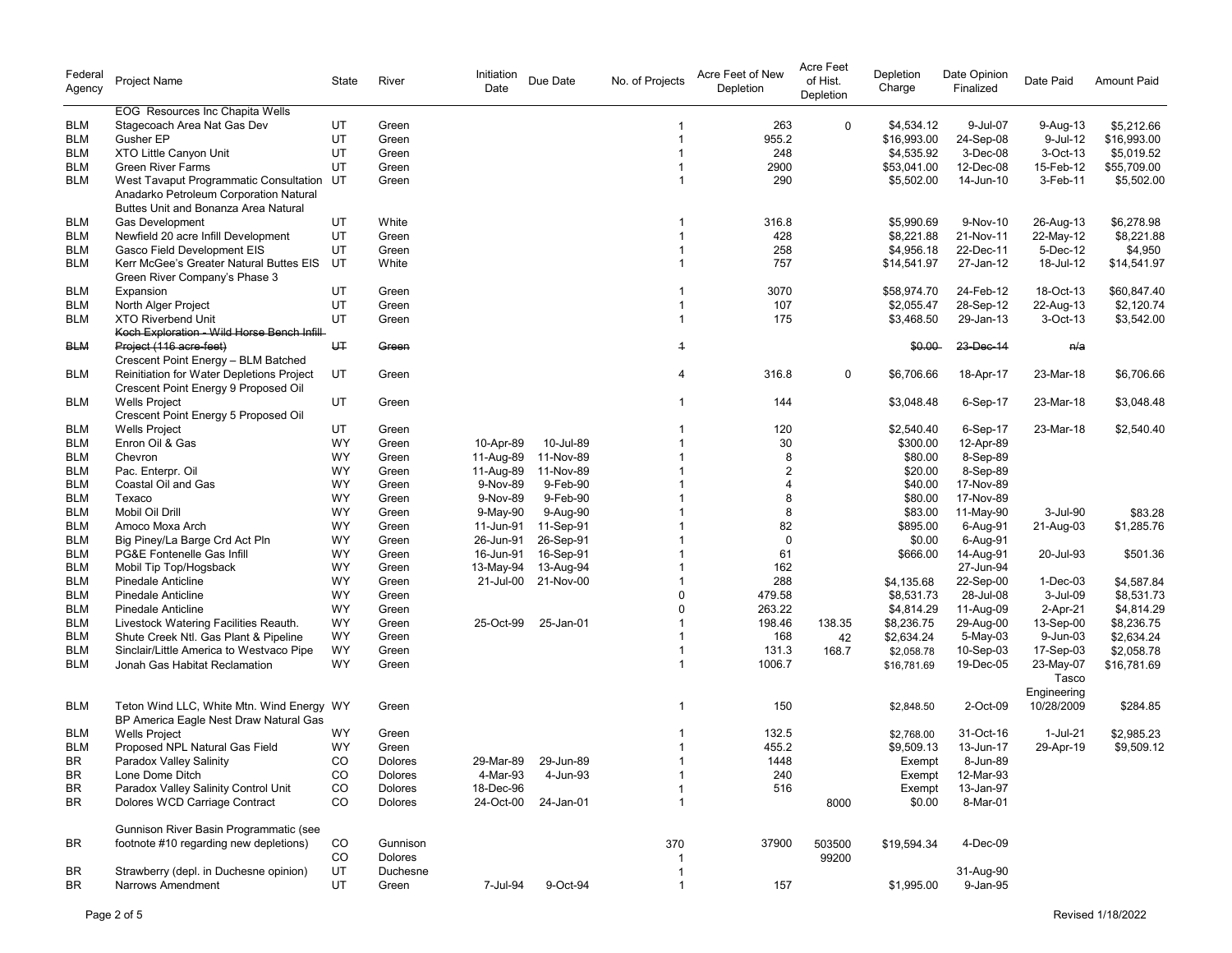| Federal<br>Agency | Project Name                                                                      | State     | River    | Initiation<br>Date | Due Date            | No. of Projects | Acre Feet of New<br>Depletion | Acre Feet<br>of Hist.<br>Depletion | Depletion<br>Charge | Date Opinion<br>Finalized | Date Paid                 | <b>Amount Paid</b> |
|-------------------|-----------------------------------------------------------------------------------|-----------|----------|--------------------|---------------------|-----------------|-------------------------------|------------------------------------|---------------------|---------------------------|---------------------------|--------------------|
|                   | EOG Resources Inc Chapita Wells                                                   |           |          |                    |                     |                 |                               |                                    |                     |                           |                           |                    |
| BLM               | Stagecoach Area Nat Gas Dev                                                       | UT        | Green    |                    |                     |                 | 263                           | $\Omega$                           | \$4,534.12          | 9-Jul-07                  | 9-Aug-13                  | \$5,212.66         |
| <b>BLM</b>        | Gusher EP                                                                         | UT        | Green    |                    |                     |                 | 955.2                         |                                    | \$16,993.00         | 24-Sep-08                 | 9-Jul-12                  | \$16,993.00        |
| <b>BLM</b>        | XTO Little Canyon Unit                                                            | UT        | Green    |                    |                     |                 | 248                           |                                    | \$4,535.92          | 3-Dec-08                  | 3-Oct-13                  | \$5.019.52         |
| <b>BLM</b>        | <b>Green River Farms</b>                                                          | UT        | Green    |                    |                     |                 | 2900                          |                                    | \$53,041.00         | 12-Dec-08                 | 15-Feb-12                 | \$55,709.00        |
| <b>BLM</b>        | West Tavaput Programmatic Consultation UT                                         |           | Green    |                    |                     |                 | 290                           |                                    | \$5,502.00          | 14-Jun-10                 | 3-Feb-11                  | \$5,502.00         |
|                   | Anadarko Petroleum Corporation Natural<br>Buttes Unit and Bonanza Area Natural    |           |          |                    |                     |                 |                               |                                    |                     |                           |                           |                    |
| <b>BLM</b>        | Gas Development                                                                   | UT        | White    |                    |                     | -1              | 316.8                         |                                    | \$5,990.69          | 9-Nov-10                  | 26-Aug-13                 | \$6,278.98         |
| <b>BLM</b>        | Newfield 20 acre Infill Development                                               | <b>UT</b> | Green    |                    |                     | $\overline{1}$  | 428                           |                                    | \$8,221.88          | 21-Nov-11                 | 22-May-12                 | \$8,221.88         |
| <b>BLM</b>        | Gasco Field Development EIS                                                       | UT        | Green    |                    |                     | $\mathbf{1}$    | 258                           |                                    | \$4,956.18          | 22-Dec-11                 | 5-Dec-12                  | \$4,950            |
| <b>BLM</b>        | Kerr McGee's Greater Natural Buttes EIS                                           | UT        | White    |                    |                     | $\overline{1}$  | 757                           |                                    | \$14,541.97         | 27-Jan-12                 | 18-Jul-12                 | \$14,541.97        |
|                   | Green River Company's Phase 3                                                     |           |          |                    |                     |                 |                               |                                    |                     |                           |                           |                    |
|                   |                                                                                   |           |          |                    |                     |                 |                               |                                    |                     |                           |                           |                    |
| BLM               | Expansion                                                                         | UT        | Green    |                    |                     | -1              | 3070                          |                                    | \$58,974.70         | 24-Feb-12                 | 18-Oct-13                 | \$60,847.40        |
| <b>BLM</b>        | North Alger Project                                                               | UT        | Green    |                    |                     | $\overline{1}$  | 107                           |                                    | \$2,055.47          | 28-Sep-12                 | 22-Aug-13                 | \$2,120.74         |
| <b>BLM</b>        | <b>XTO Riverbend Unit</b><br>Koch Exploration - Wild Horse Bench Infill-          | UT        | Green    |                    |                     | $\overline{1}$  | 175                           |                                    | \$3,468.50          | 29-Jan-13                 | 3-Oct-13                  | \$3,542.00         |
| <b>BLM</b>        | Project (116 acre-feet)<br>Crescent Point Energy - BLM Batched                    | UT        | Green    |                    |                     | $\overline{1}$  |                               |                                    | \$0.00              | 23-Dec-14                 | n/a                       |                    |
| BLM               | Reinitiation for Water Depletions Project<br>Crescent Point Energy 9 Proposed Oil | UT        | Green    |                    |                     | 4               | 316.8                         | $\mathbf 0$                        | \$6,706.66          | 18-Apr-17                 | 23-Mar-18                 | \$6,706.66         |
| BLM               | <b>Wells Project</b><br>Crescent Point Energy 5 Proposed Oil                      | UT        | Green    |                    |                     | $\mathbf 1$     | 144                           |                                    | \$3,048.48          | 6-Sep-17                  | 23-Mar-18                 | \$3,048.48         |
| <b>BLM</b>        | <b>Wells Project</b>                                                              | UT        | Green    |                    |                     |                 | 120                           |                                    | \$2,540.40          | 6-Sep-17                  | 23-Mar-18                 | \$2,540.40         |
| <b>BLM</b>        | Enron Oil & Gas                                                                   | WY        | Green    | 10-Apr-89          | 10-Jul-89           |                 | 30                            |                                    | \$300.00            | 12-Apr-89                 |                           |                    |
| <b>BLM</b>        | Chevron                                                                           | WY        | Green    | 11-Aug-89          | 11-Nov-89           | -1              | 8                             |                                    | \$80.00             | 8-Sep-89                  |                           |                    |
| <b>BLM</b>        | Pac. Enterpr. Oil                                                                 | WY        | Green    | 11-Aug-89          | 11-Nov-89           |                 | $\overline{2}$                |                                    | \$20.00             | 8-Sep-89                  |                           |                    |
| <b>BLM</b>        | Coastal Oil and Gas                                                               | WY        | Green    | 9-Nov-89           | 9-Feb-90            |                 | $\overline{4}$                |                                    | \$40.00             | 17-Nov-89                 |                           |                    |
| <b>BLM</b>        | Texaco                                                                            | <b>WY</b> |          | 9-Nov-89           | 9-Feb-90            |                 | 8                             |                                    |                     | 17-Nov-89                 |                           |                    |
|                   |                                                                                   |           | Green    |                    |                     |                 |                               |                                    | \$80.00             |                           |                           |                    |
| <b>BLM</b>        | Mobil Oil Drill                                                                   | WY        | Green    | 9-May-90           | 9-Aug-90            |                 | 8                             |                                    | \$83.00             | 11-May-90                 | 3-Jul-90                  | \$83.28            |
| <b>BLM</b>        | Amoco Moxa Arch                                                                   | <b>WY</b> | Green    | 11-Jun-91          | 11-Sep-91           |                 | 82                            |                                    | \$895.00            | 6-Aug-91                  | 21-Aug-03                 | \$1,285.76         |
| <b>BLM</b>        | Big Piney/La Barge Crd Act Pln                                                    | WY        | Green    | 26-Jun-91          | 26-Sep-91           |                 | $\mathbf 0$                   |                                    | \$0.00              | 6-Aug-91                  |                           |                    |
| <b>BLM</b>        | PG&E Fontenelle Gas Infill                                                        | WY        | Green    | 16-Jun-91          | 16-Sep-91           |                 | 61                            |                                    | \$666.00            | 14-Aug-91                 | 20-Jul-93                 | \$501.36           |
| <b>BLM</b>        | Mobil Tip Top/Hogsback                                                            | WY        | Green    | 13-May-94          | 13-Aug-94           |                 | 162                           |                                    |                     | 27-Jun-94                 |                           |                    |
| <b>BLM</b>        | <b>Pinedale Anticline</b>                                                         | <b>WY</b> | Green    | 21-Jul-00          | 21-Nov-00           |                 | 288                           |                                    | \$4,135.68          | 22-Sep-00                 | $1-Dec-03$                | \$4,587.84         |
| <b>BLM</b>        | <b>Pinedale Anticline</b>                                                         | WY        | Green    |                    |                     | $\Omega$        | 479.58                        |                                    | \$8,531.73          | 28-Jul-08                 | 3-Jul-09                  | \$8,531.73         |
| <b>BLM</b>        | <b>Pinedale Anticline</b>                                                         | WY        | Green    |                    |                     | $\Omega$        | 263.22                        |                                    | \$4,814.29          | 11-Aug-09                 | 2-Apr-21                  | \$4,814.29         |
| <b>BLM</b>        | Livestock Watering Facilities Reauth.                                             | WY        | Green    | 25-Oct-99          | 25-Jan-01           |                 | 198.46                        | 138.35                             | \$8,236.75          | 29-Aug-00                 | 13-Sep-00                 | \$8,236.75         |
| <b>BLM</b>        | Shute Creek Ntl. Gas Plant & Pipeline                                             | WY        | Green    |                    |                     |                 | 168                           | 42                                 | \$2,634.24          | 5-May-03                  | 9-Jun-03                  | \$2,634.24         |
| <b>BLM</b>        | Sinclair/Little America to Westvaco Pipe                                          | WY        | Green    |                    |                     | $\mathbf 1$     | 131.3                         | 168.7                              | \$2,058.78          | 10-Sep-03                 | 17-Sep-03                 | \$2,058.78         |
| <b>BLM</b>        | Jonah Gas Habitat Reclamation                                                     | WY        | Green    |                    |                     |                 | 1006.7                        |                                    | \$16,781.69         | 19-Dec-05                 | 23-May-07<br>Tasco        | \$16,781.69        |
| <b>BLM</b>        | Teton Wind LLC, White Mtn. Wind Energy WY                                         |           | Green    |                    |                     |                 | 150                           |                                    | \$2,848.50          | 2-Oct-09                  | Engineering<br>10/28/2009 | \$284.85           |
| BLM               | BP America Eagle Nest Draw Natural Gas                                            | <b>WY</b> | Green    |                    |                     |                 | 132.5                         |                                    |                     | 31-Oct-16                 | 1-Jul-21                  |                    |
|                   | <b>Wells Project</b>                                                              |           |          |                    |                     |                 |                               |                                    | \$2,768.00          |                           |                           | \$2,985.23         |
| <b>BLM</b>        | Proposed NPL Natural Gas Field                                                    | <b>WY</b> | Green    |                    |                     |                 | 455.2                         |                                    | \$9,509.13          | 13-Jun-17                 | 29-Apr-19                 | \$9,509.12         |
| BR                | Paradox Valley Salinity                                                           | CO        | Dolores  |                    | 29-Mar-89 29-Jun-89 |                 | 1448                          |                                    | Exempt              | 8-Jun-89                  |                           |                    |
| BR                | Lone Dome Ditch                                                                   | CO        | Dolores  | 4-Mar-93           | 4-Jun-93            | -1              | 240                           |                                    | Exempt              | 12-Mar-93                 |                           |                    |
| BR                | Paradox Valley Salinity Control Unit                                              | CO        | Dolores  | 18-Dec-96          |                     |                 | 516                           |                                    | Exempt              | 13-Jan-97                 |                           |                    |
| BR                | Dolores WCD Carriage Contract                                                     | CO        | Dolores  |                    | 24-Oct-00 24-Jan-01 | $\mathbf{1}$    |                               | 8000                               | \$0.00              | 8-Mar-01                  |                           |                    |
|                   | Gunnison River Basin Programmatic (see                                            |           |          |                    |                     |                 | 37900                         |                                    |                     |                           |                           |                    |
| BR                | footnote #10 regarding new depletions)                                            | CO        | Gunnison |                    |                     | 370             |                               | 503500                             | \$19,594.34         | 4-Dec-09                  |                           |                    |
|                   |                                                                                   | CO        | Dolores  |                    |                     |                 |                               | 99200                              |                     |                           |                           |                    |
| BR                | Strawberry (depl. in Duchesne opinion)                                            | UT        | Duchesne |                    |                     |                 |                               |                                    |                     | 31-Aug-90                 |                           |                    |
| BR                | Narrows Amendment                                                                 | UT        | Green    | 7-Jul-94           | 9-Oct-94            | -1              | 157                           |                                    | \$1,995.00          | 9-Jan-95                  |                           |                    |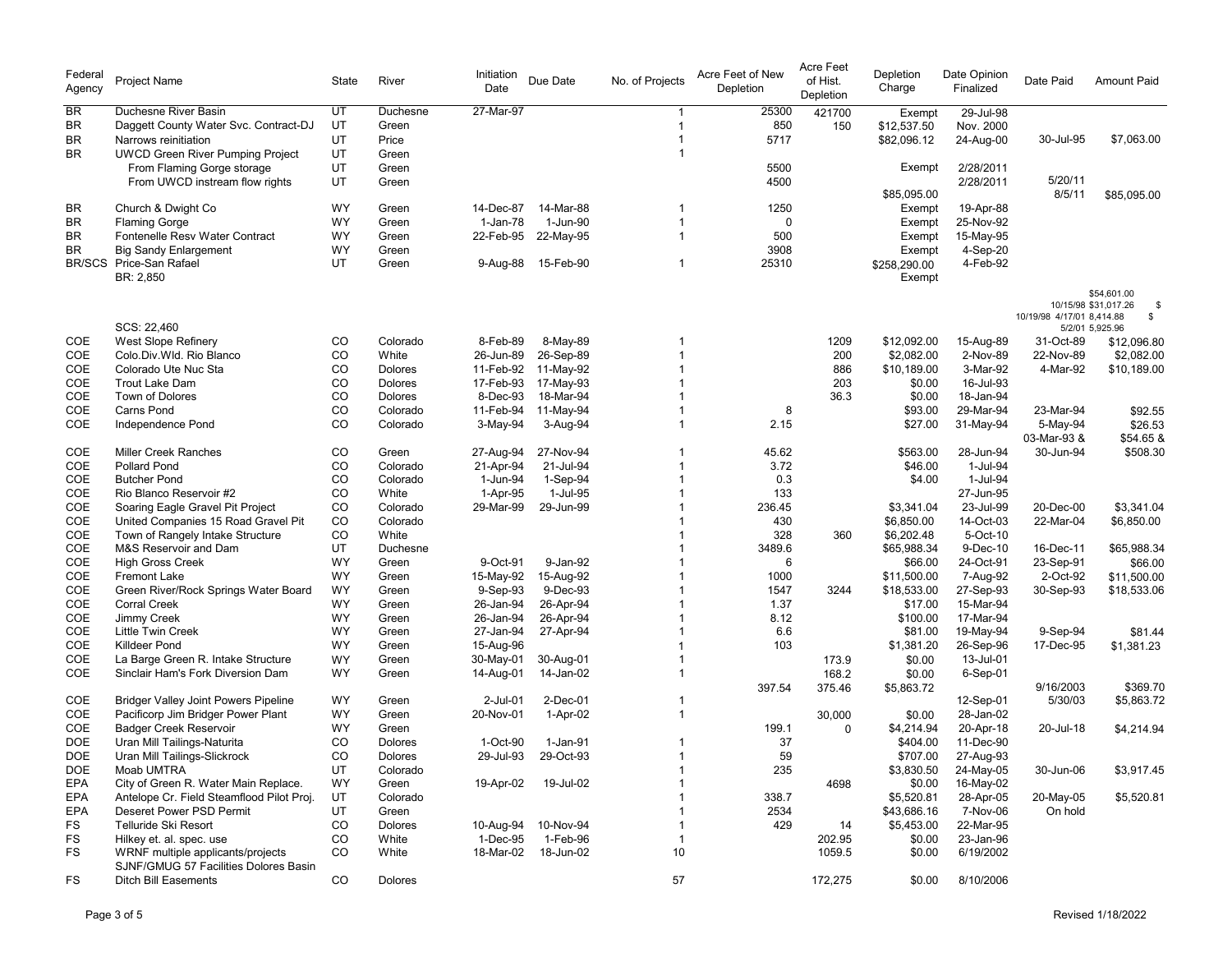| Federal<br>Agency | Project Name                                | State    | River          | Initiation<br>Date | Due Date            | No. of Projects | Acre Feet of New<br>Depletion | <b>Acre Feet</b><br>of Hist.<br>Depletion | Depletion<br>Charge | Date Opinion<br>Finalized | Date Paid                 | <b>Amount Paid</b>                                                             |
|-------------------|---------------------------------------------|----------|----------------|--------------------|---------------------|-----------------|-------------------------------|-------------------------------------------|---------------------|---------------------------|---------------------------|--------------------------------------------------------------------------------|
| <b>BR</b>         | Duchesne River Basin                        | UT       | Duchesne       | 27-Mar-97          |                     |                 | 25300                         | 421700                                    | Exempt              | 29-Jul-98                 |                           |                                                                                |
| <b>BR</b>         | Daggett County Water Svc. Contract-DJ       | UT       | Green          |                    |                     | 1               | 850                           | 150                                       | \$12,537.50         | Nov. 2000                 |                           |                                                                                |
| <b>BR</b>         | Narrows reinitiation                        | UT       | Price          |                    |                     | 1               | 5717                          |                                           | \$82,096.12         | 24-Aug-00                 | 30-Jul-95                 | \$7,063.00                                                                     |
| <b>BR</b>         | <b>UWCD Green River Pumping Project</b>     | UT       | Green          |                    |                     |                 |                               |                                           |                     |                           |                           |                                                                                |
|                   | From Flaming Gorge storage                  | UT       | Green          |                    |                     |                 | 5500                          |                                           | Exempt              | 2/28/2011                 |                           |                                                                                |
|                   | From UWCD instream flow rights              | UT       | Green          |                    |                     |                 | 4500                          |                                           |                     | 2/28/2011                 | 5/20/11                   |                                                                                |
|                   |                                             |          |                |                    |                     |                 |                               |                                           | \$85,095.00         |                           | 8/5/11                    | \$85,095.00                                                                    |
| BR.               | Church & Dwight Co                          | WY       | Green          | 14-Dec-87          | 14-Mar-88           |                 | 1250                          |                                           | Exempt              | 19-Apr-88                 |                           |                                                                                |
| <b>BR</b>         | <b>Flaming Gorge</b>                        | WY       | Green          | 1-Jan-78           | 1-Jun-90            | $\overline{1}$  | $\mathbf 0$                   |                                           | Exempt              | 25-Nov-92                 |                           |                                                                                |
| <b>BR</b>         | Fontenelle Resv Water Contract              | WY       | Green          | 22-Feb-95          | 22-May-95           | $\mathbf{1}$    | 500                           |                                           | Exempt              | 15-May-95                 |                           |                                                                                |
| <b>BR</b>         | <b>Big Sandy Enlargement</b>                | WY       | Green          |                    |                     |                 | 3908                          |                                           | Exempt              | 4-Sep-20                  |                           |                                                                                |
|                   | BR/SCS Price-San Rafael                     | UT       | Green          | 9-Aug-88           | 15-Feb-90           | $\mathbf{1}$    | 25310                         |                                           | \$258,290.00        | 4-Feb-92                  |                           |                                                                                |
|                   | BR: 2,850                                   |          |                |                    |                     |                 |                               |                                           | Exempt              |                           |                           |                                                                                |
|                   | SCS: 22,460                                 |          |                |                    |                     |                 |                               |                                           |                     |                           | 10/19/98 4/17/01 8,414.88 | \$54,601.00<br>10/15/98 \$31,017.26<br>- \$<br>$\mathbb{S}$<br>5/2/01 5,925.96 |
| COE               | West Slope Refinery                         | CO       | Colorado       | 8-Feb-89           | 8-May-89            |                 |                               | 1209                                      | \$12,092.00         | 15-Aug-89                 | 31-Oct-89                 | \$12,096.80                                                                    |
| COE               | Colo.Div.Wld. Rio Blanco                    | CO       | White          | 26-Jun-89          | 26-Sep-89           |                 |                               | 200                                       | \$2,082.00          | 2-Nov-89                  | 22-Nov-89                 | \$2,082.00                                                                     |
| COE               | Colorado Ute Nuc Sta                        | CO       | Dolores        |                    | 11-Feb-92 11-May-92 |                 |                               | 886                                       | \$10,189.00         | 3-Mar-92                  | 4-Mar-92                  | \$10,189.00                                                                    |
| COE               | <b>Trout Lake Dam</b>                       | CO       | Dolores        | 17-Feb-93          | 17-May-93           |                 |                               | 203                                       | \$0.00              | 16-Jul-93                 |                           |                                                                                |
| COE               | Town of Dolores                             | CO       | Dolores        | 8-Dec-93           | 18-Mar-94           |                 |                               | 36.3                                      |                     | 18-Jan-94                 |                           |                                                                                |
|                   |                                             |          |                |                    |                     |                 |                               |                                           | \$0.00              |                           |                           |                                                                                |
| COE               | Carns Pond                                  | CO       | Colorado       | 11-Feb-94          | 11-May-94           |                 | 8                             |                                           | \$93.00             | 29-Mar-94                 | 23-Mar-94                 | \$92.55                                                                        |
| COE               | Independence Pond                           | CO       | Colorado       | 3-May-94           | 3-Aug-94            |                 | 2.15                          |                                           | \$27.00             | 31-May-94                 | 5-May-94<br>03-Mar-93 &   | \$26.53<br>\$54.65 &                                                           |
| COE               | <b>Miller Creek Ranches</b>                 | CO       | Green          | 27-Aug-94          | 27-Nov-94           |                 | 45.62                         |                                           | \$563.00            | 28-Jun-94                 | 30-Jun-94                 | \$508.30                                                                       |
| COE               | <b>Pollard Pond</b>                         | CO       | Colorado       | 21-Apr-94          | 21-Jul-94           |                 | 3.72                          |                                           | \$46.00             | 1-Jul-94                  |                           |                                                                                |
| COE               | <b>Butcher Pond</b>                         | CO       | Colorado       | 1-Jun-94           | 1-Sep-94            |                 | 0.3                           |                                           | \$4.00              | 1-Jul-94                  |                           |                                                                                |
| COE               | Rio Blanco Reservoir #2                     | CO       | White          | 1-Apr-95           | 1-Jul-95            |                 | 133                           |                                           |                     | 27-Jun-95                 |                           |                                                                                |
| COE               | Soaring Eagle Gravel Pit Project            | CO       | Colorado       | 29-Mar-99          | 29-Jun-99           |                 | 236.45                        |                                           | \$3,341.04          | 23-Jul-99                 | 20-Dec-00                 | \$3,341.04                                                                     |
| COE               | United Companies 15 Road Gravel Pit         | CO       | Colorado       |                    |                     |                 | 430                           |                                           | \$6,850.00          | 14-Oct-03                 | 22-Mar-04                 | \$6,850.00                                                                     |
| COE               | Town of Rangely Intake Structure            | CO       | White          |                    |                     |                 | 328                           | 360                                       | \$6,202.48          | 5-Oct-10                  |                           |                                                                                |
| COE               | M&S Reservoir and Dam                       | UT       | Duchesne       |                    |                     |                 | 3489.6                        |                                           | \$65,988.34         | 9-Dec-10                  | 16-Dec-11                 | \$65,988.34                                                                    |
| COE               | <b>High Gross Creek</b>                     | WY       | Green          | 9-Oct-91           | 9-Jan-92            |                 | 6                             |                                           | \$66.00             | 24-Oct-91                 | 23-Sep-91                 | \$66.00                                                                        |
| COE               | <b>Fremont Lake</b>                         | WY       | Green          | 15-May-92          | 15-Aug-92           |                 | 1000                          |                                           | \$11,500.00         | 7-Aug-92                  | 2-Oct-92                  | \$11,500.00                                                                    |
| <b>COE</b>        | Green River/Rock Springs Water Board        | WY       | Green          | 9-Sep-93           | 9-Dec-93            |                 | 1547                          | 3244                                      | \$18,533.00         | 27-Sep-93                 | 30-Sep-93                 | \$18,533.06                                                                    |
| COE               | <b>Corral Creek</b>                         | WY       | Green          | 26-Jan-94          | 26-Apr-94           |                 | 1.37                          |                                           | \$17.00             | 15-Mar-94                 |                           |                                                                                |
| COE               |                                             | WY       |                | 26-Jan-94          | 26-Apr-94           |                 | 8.12                          |                                           | \$100.00            | 17-Mar-94                 |                           |                                                                                |
|                   | Jimmy Creek                                 |          | Green          |                    |                     |                 |                               |                                           |                     |                           |                           |                                                                                |
| COE<br>COE        | <b>Little Twin Creek</b><br>Killdeer Pond   | WY<br>WY | Green          | 27-Jan-94          | 27-Apr-94           |                 | 6.6<br>103                    |                                           | \$81.00             | 19-May-94                 | 9-Sep-94                  | \$81.44                                                                        |
|                   |                                             |          | Green          | 15-Aug-96          |                     |                 |                               |                                           | \$1,381.20          | 26-Sep-96                 | 17-Dec-95                 | \$1,381.23                                                                     |
| COE               | La Barge Green R. Intake Structure          | WY       | Green          | 30-May-01          | 30-Aug-01           |                 |                               | 173.9                                     | \$0.00              | 13-Jul-01                 |                           |                                                                                |
| COE               | Sinclair Ham's Fork Diversion Dam           | WY       | Green          | 14-Aug-01          | 14-Jan-02           |                 |                               | 168.2                                     | \$0.00              | $6-Sep-01$                |                           |                                                                                |
|                   |                                             |          |                |                    |                     |                 | 397.54                        | 375.46                                    | \$5,863.72          |                           | 9/16/2003                 | \$369.70                                                                       |
| COE               | <b>Bridger Valley Joint Powers Pipeline</b> | WY       | Green          | 2-Jul-01           | 2-Dec-01            |                 |                               |                                           |                     | 12-Sep-01                 | 5/30/03                   | \$5,863.72                                                                     |
| COE               | Pacificorp Jim Bridger Power Plant          | WY       | Green          | 20-Nov-01          | 1-Apr-02            |                 |                               | 30,000                                    | \$0.00              | 28-Jan-02                 |                           |                                                                                |
| COE               | <b>Badger Creek Reservoir</b>               | WY       | Green          |                    |                     |                 | 199.1                         | $\Omega$                                  | \$4,214.94          | 20-Apr-18                 | 20-Jul-18                 | \$4,214.94                                                                     |
| <b>DOE</b>        | Uran Mill Tailings-Naturita                 | CO       | <b>Dolores</b> | 1-Oct-90           | 1-Jan-91            |                 | 37                            |                                           | \$404.00            | 11-Dec-90                 |                           |                                                                                |
| <b>DOE</b>        | Uran Mill Tailings-Slickrock                | CO       | Dolores        | 29-Jul-93          | 29-Oct-93           |                 | 59                            |                                           | \$707.00            | 27-Aug-93                 |                           |                                                                                |
| <b>DOE</b>        | Moab UMTRA                                  | UT       | Colorado       |                    |                     | 1               | 235                           |                                           | \$3,830.50          | 24-May-05                 | 30-Jun-06                 | \$3,917.45                                                                     |
| <b>EPA</b>        | City of Green R. Water Main Replace.        | WY       | Green          | 19-Apr-02          | 19-Jul-02           |                 |                               | 4698                                      | \$0.00              | 16-May-02                 |                           |                                                                                |
| <b>EPA</b>        | Antelope Cr. Field Steamflood Pilot Proj.   | UT       | Colorado       |                    |                     |                 | 338.7                         |                                           | \$5,520.81          | 28-Apr-05                 | 20-May-05                 | \$5,520.81                                                                     |
| <b>EPA</b>        | Deseret Power PSD Permit                    | UT       | Green          |                    |                     |                 | 2534                          |                                           | \$43,686.16         | 7-Nov-06                  | On hold                   |                                                                                |
| FS                | Telluride Ski Resort                        | CO       | Dolores        |                    | 10-Aug-94 10-Nov-94 |                 | 429                           | 14                                        | \$5,453.00          | 22-Mar-95                 |                           |                                                                                |
| FS                | Hilkey et. al. spec. use                    | CO       | White          | 1-Dec-95           | 1-Feb-96            |                 |                               | 202.95                                    | \$0.00              | 23-Jan-96                 |                           |                                                                                |
| FS                | WRNF multiple applicants/projects           | CO       | White          | 18-Mar-02          | 18-Jun-02           | 10              |                               | 1059.5                                    | \$0.00              | 6/19/2002                 |                           |                                                                                |
|                   | SJNF/GMUG 57 Facilities Dolores Basin       |          |                |                    |                     |                 |                               |                                           |                     |                           |                           |                                                                                |
| <b>FS</b>         | <b>Ditch Bill Easements</b>                 | CO       | Dolores        |                    |                     | 57              |                               | 172,275                                   | \$0.00              | 8/10/2006                 |                           |                                                                                |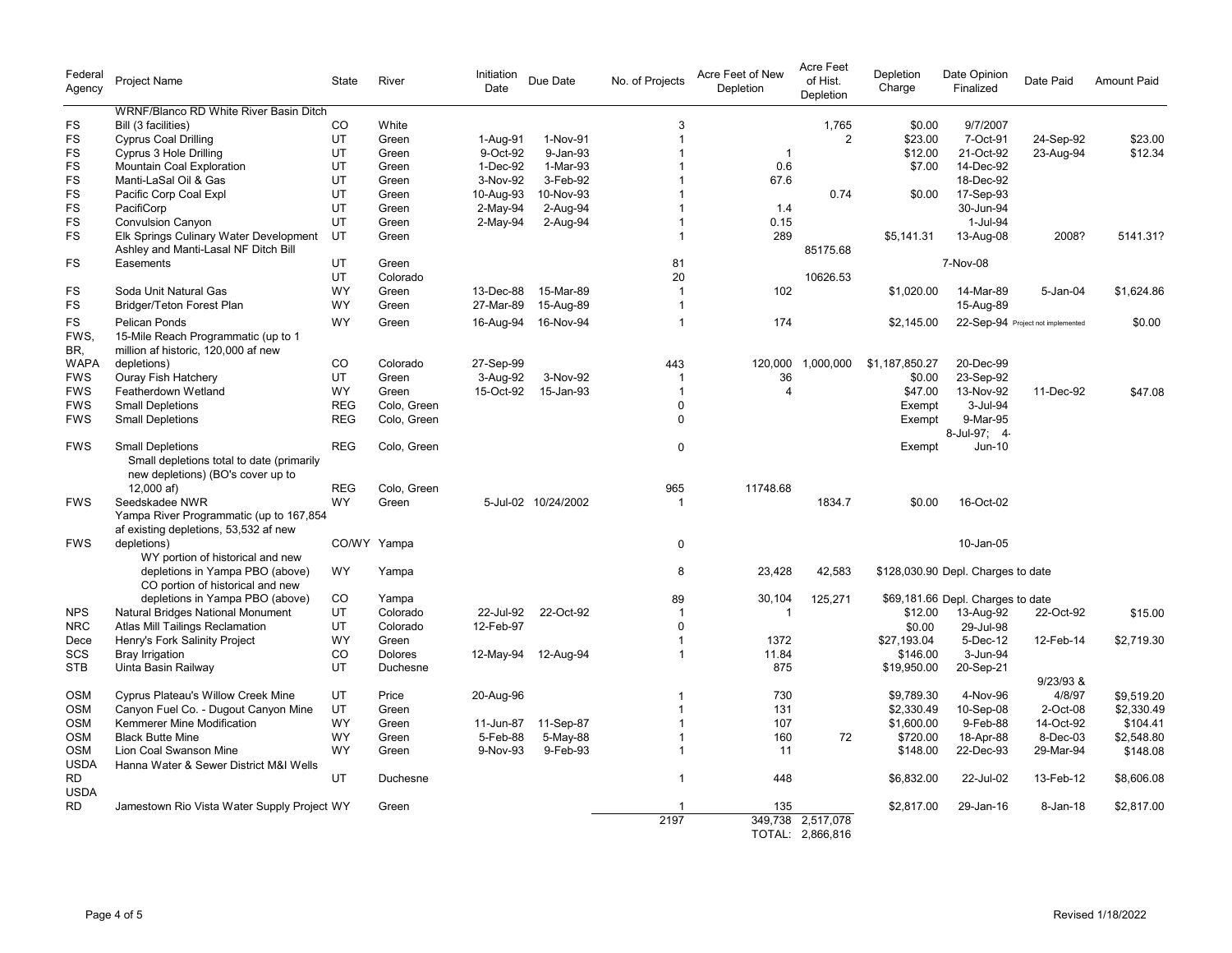| Federal<br>Agency        | Project Name                                                                                              | State      | River       | Initiation<br>Date | Due Date            | No. of Projects      | Acre Feet of New<br>Depletion | Acre Feet<br>of Hist.<br>Depletion    | Depletion<br>Charge | Date Opinion<br>Finalized          | Date Paid                         | <b>Amount Paid</b> |
|--------------------------|-----------------------------------------------------------------------------------------------------------|------------|-------------|--------------------|---------------------|----------------------|-------------------------------|---------------------------------------|---------------------|------------------------------------|-----------------------------------|--------------------|
|                          | <b>WRNF/Blanco RD White River Basin Ditch</b>                                                             |            |             |                    |                     |                      |                               |                                       |                     |                                    |                                   |                    |
| FS                       | Bill (3 facilities)                                                                                       | CO         | White       |                    |                     | 3                    |                               | 1,765                                 | \$0.00              | 9/7/2007                           |                                   |                    |
| <b>FS</b>                | <b>Cyprus Coal Drilling</b>                                                                               | UT         | Green       | 1-Aug-91           | 1-Nov-91            | $\overline{1}$       |                               | $\overline{2}$                        | \$23.00             | 7-Oct-91                           | 24-Sep-92                         | \$23.00            |
| FS                       | Cyprus 3 Hole Drilling                                                                                    | UT         | Green       | 9-Oct-92           | 9-Jan-93            | $\overline{1}$       | $\overline{1}$                |                                       | \$12.00             | 21-Oct-92                          | 23-Aug-94                         | \$12.34            |
| <b>FS</b>                | Mountain Coal Exploration                                                                                 | UT         | Green       | 1-Dec-92           | 1-Mar-93            | -1                   | 0.6                           |                                       | \$7.00              | 14-Dec-92                          |                                   |                    |
| <b>FS</b>                | Manti-LaSal Oil & Gas                                                                                     | UT         | Green       | 3-Nov-92           | 3-Feb-92            | -1                   | 67.6                          |                                       |                     | 18-Dec-92                          |                                   |                    |
| FS                       | Pacific Corp Coal Expl                                                                                    | UT         | Green       | 10-Aug-93          | 10-Nov-93           | $\overline{1}$       |                               | 0.74                                  | \$0.00              | 17-Sep-93                          |                                   |                    |
| <b>FS</b>                | PacifiCorp                                                                                                | UT         | Green       | $2-May-94$         | 2-Aug-94            | -1<br>$\overline{1}$ | 1.4                           |                                       |                     | 30-Jun-94                          |                                   |                    |
| FS<br>FS                 | <b>Convulsion Canyon</b>                                                                                  | UT<br>UT   | Green       | 2-May-94           | 2-Aug-94            | -1                   | 0.15<br>289                   |                                       |                     | 1-Jul-94                           | 2008?                             |                    |
|                          | Elk Springs Culinary Water Development<br>Ashley and Manti-Lasal NF Ditch Bill                            |            | Green       |                    |                     |                      |                               | 85175.68                              | \$5,141.31          | 13-Aug-08                          |                                   | 5141.31?           |
| FS                       | Easements                                                                                                 | UT         | Green       |                    |                     | 81                   |                               |                                       |                     | 7-Nov-08                           |                                   |                    |
|                          |                                                                                                           | UT         | Colorado    |                    |                     | 20                   |                               | 10626.53                              |                     |                                    |                                   |                    |
| FS                       | Soda Unit Natural Gas                                                                                     | WY         | Green       | 13-Dec-88          | 15-Mar-89           | $\overline{1}$       | 102                           |                                       | \$1,020.00          | 14-Mar-89                          | 5-Jan-04                          | \$1,624.86         |
| <b>FS</b>                | Bridger/Teton Forest Plan                                                                                 | <b>WY</b>  | Green       | 27-Mar-89          | 15-Aug-89           | $\mathbf 1$          |                               |                                       |                     | 15-Aug-89                          |                                   |                    |
| <b>FS</b><br>FWS.<br>BR. | <b>Pelican Ponds</b><br>15-Mile Reach Programmatic (up to 1<br>million af historic, 120,000 af new        | <b>WY</b>  | Green       | 16-Aug-94          | 16-Nov-94           | $\mathbf 1$          | 174                           |                                       | \$2.145.00          |                                    | 22-Sep-94 Project not implemented | \$0.00             |
| <b>WAPA</b>              | depletions)                                                                                               | CO         | Colorado    | 27-Sep-99          |                     | 443                  | 120,000                       | 1,000,000                             | \$1,187,850.27      | 20-Dec-99                          |                                   |                    |
| <b>FWS</b>               | Ouray Fish Hatchery                                                                                       | <b>UT</b>  | Green       | 3-Aug-92           | 3-Nov-92            | -1                   | 36                            |                                       | \$0.00              | 23-Sep-92                          |                                   |                    |
| <b>FWS</b>               | Featherdown Wetland                                                                                       | <b>WY</b>  | Green       | 15-Oct-92          | 15-Jan-93           | $\overline{1}$       | $\overline{4}$                |                                       | \$47.00             | 13-Nov-92                          | 11-Dec-92                         | \$47.08            |
| <b>FWS</b>               | <b>Small Depletions</b>                                                                                   | <b>REG</b> | Colo, Green |                    |                     | $\Omega$             |                               |                                       | Exempt              | 3-Jul-94                           |                                   |                    |
| <b>FWS</b>               | <b>Small Depletions</b>                                                                                   | <b>REG</b> | Colo, Green |                    |                     | $\Omega$             |                               |                                       | Exempt              | 9-Mar-95<br>8-Jul-97; 4-           |                                   |                    |
| <b>FWS</b>               | <b>Small Depletions</b><br>Small depletions total to date (primarily<br>new depletions) (BO's cover up to | <b>REG</b> | Colo, Green |                    |                     | 0                    |                               |                                       | Exempt              | Jun-10                             |                                   |                    |
|                          | 12,000 af)                                                                                                | <b>REG</b> | Colo, Green |                    |                     | 965                  | 11748.68                      |                                       |                     |                                    |                                   |                    |
| <b>FWS</b>               | Seedskadee NWR                                                                                            | <b>WY</b>  | Green       |                    | 5-Jul-02 10/24/2002 |                      |                               | 1834.7                                | \$0.00              | 16-Oct-02                          |                                   |                    |
|                          | Yampa River Programmatic (up to 167,854                                                                   |            |             |                    |                     |                      |                               |                                       |                     |                                    |                                   |                    |
|                          | af existing depletions, 53,532 af new                                                                     |            |             |                    |                     |                      |                               |                                       |                     |                                    |                                   |                    |
| <b>FWS</b>               | depletions)                                                                                               |            | CO/WY Yampa |                    |                     | 0                    |                               |                                       |                     | 10-Jan-05                          |                                   |                    |
|                          | WY portion of historical and new<br>depletions in Yampa PBO (above)                                       | <b>WY</b>  | Yampa       |                    |                     | 8                    | 23,428                        | 42,583                                |                     | \$128,030.90 Depl. Charges to date |                                   |                    |
|                          | CO portion of historical and new                                                                          |            |             |                    |                     |                      |                               |                                       |                     |                                    |                                   |                    |
|                          | depletions in Yampa PBO (above)                                                                           | CO         | Yampa       |                    |                     | 89                   | 30,104                        | 125,271                               |                     | \$69,181.66 Depl. Charges to date  |                                   |                    |
| <b>NPS</b>               | Natural Bridges National Monument                                                                         | UT         | Colorado    | 22-Jul-92          | 22-Oct-92           | $\mathbf 1$          | $\mathbf 1$                   |                                       | \$12.00             | 13-Aug-92                          | 22-Oct-92                         | \$15.00            |
| <b>NRC</b>               | Atlas Mill Tailings Reclamation                                                                           | UT         | Colorado    | 12-Feb-97          |                     | $\Omega$             |                               |                                       | \$0.00              | 29-Jul-98                          |                                   |                    |
| Dece                     | Henry's Fork Salinity Project                                                                             | <b>WY</b>  | Green       |                    |                     | -1                   | 1372                          |                                       | \$27.193.04         | 5-Dec-12                           | 12-Feb-14                         | \$2,719.30         |
| SCS                      | <b>Bray Irrigation</b>                                                                                    | CO         | Dolores     |                    | 12-May-94 12-Aug-94 | $\overline{1}$       | 11.84                         |                                       | \$146.00            | 3-Jun-94                           |                                   |                    |
| <b>STB</b>               | Uinta Basin Railway                                                                                       | UT         | Duchesne    |                    |                     |                      | 875                           |                                       | \$19,950.00         | 20-Sep-21                          | $9/23/93$ &                       |                    |
| <b>OSM</b>               | Cyprus Plateau's Willow Creek Mine                                                                        | UT         | Price       | 20-Aug-96          |                     | $\overline{1}$       | 730                           |                                       | \$9,789.30          | 4-Nov-96                           | 4/8/97                            | \$9,519.20         |
| <b>OSM</b>               | Canyon Fuel Co. - Dugout Canyon Mine                                                                      | UT         | Green       |                    |                     |                      | 131                           |                                       | \$2,330.49          | 10-Sep-08                          | 2-Oct-08                          | \$2,330.49         |
| <b>OSM</b>               | Kemmerer Mine Modification                                                                                | WY         | Green       | 11-Jun-87          | 11-Sep-87           | $\overline{1}$       | 107                           |                                       | \$1,600.00          | 9-Feb-88                           | 14-Oct-92                         | \$104.41           |
| <b>OSM</b>               | <b>Black Butte Mine</b>                                                                                   | <b>WY</b>  | Green       | 5-Feb-88           | 5-May-88            | $\overline{1}$       | 160                           | 72                                    | \$720.00            | 18-Apr-88                          | 8-Dec-03                          | \$2,548.80         |
| <b>OSM</b>               | Lion Coal Swanson Mine                                                                                    | WY         | Green       | 9-Nov-93           | 9-Feb-93            | $\overline{1}$       | 11                            |                                       | \$148.00            | 22-Dec-93                          | 29-Mar-94                         | \$148.08           |
| <b>USDA</b><br><b>RD</b> | Hanna Water & Sewer District M&I Wells                                                                    | <b>UT</b>  | Duchesne    |                    |                     | $\overline{1}$       | 448                           |                                       | \$6,832.00          | 22-Jul-02                          | 13-Feb-12                         | \$8,606.08         |
| <b>USDA</b>              |                                                                                                           |            |             |                    |                     |                      |                               |                                       |                     |                                    |                                   |                    |
| RD                       | Jamestown Rio Vista Water Supply Project WY                                                               |            | Green       |                    |                     |                      | 135                           |                                       | \$2,817.00          | 29-Jan-16                          | 8-Jan-18                          | \$2,817.00         |
|                          |                                                                                                           |            |             |                    |                     | 2197                 |                               | 349,738 2,517,078<br>TOTAL: 2,866,816 |                     |                                    |                                   |                    |